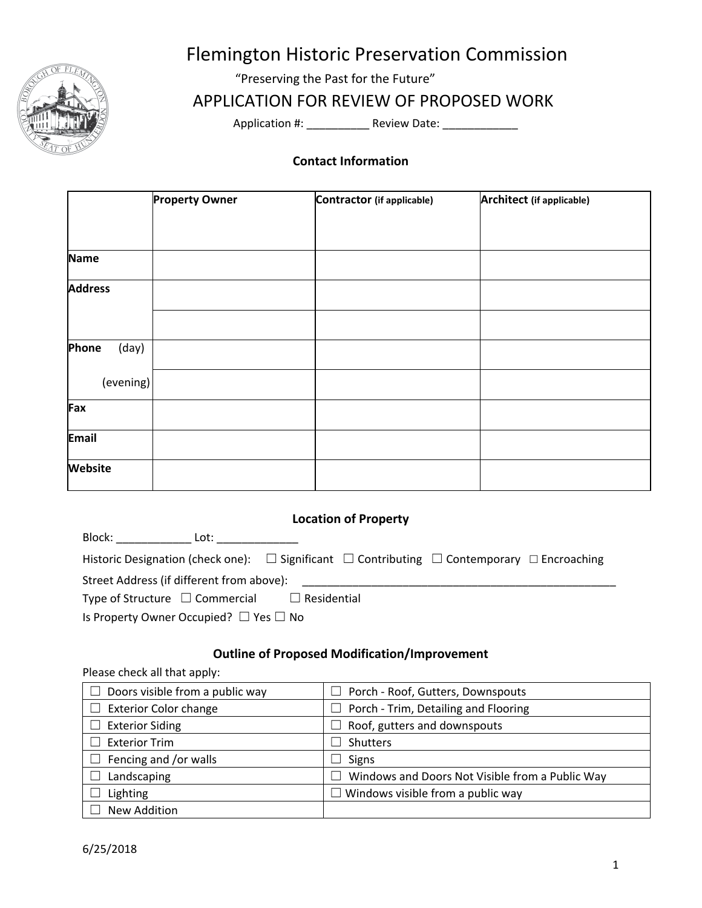

# Flemington Historic Preservation Commission

"Preserving the Past for the Future"

## APPLICATION FOR REVIEW OF PROPOSED WORK

Application #: \_\_\_\_\_\_\_\_\_\_\_\_\_ Review Date: \_\_\_\_\_\_\_\_\_\_\_\_\_\_\_

#### **Contact Information**

|                | <b>Property Owner</b> | Contractor (if applicable) | <b>Architect (if applicable)</b> |
|----------------|-----------------------|----------------------------|----------------------------------|
|                |                       |                            |                                  |
|                |                       |                            |                                  |
| <b>Name</b>    |                       |                            |                                  |
| <b>Address</b> |                       |                            |                                  |
|                |                       |                            |                                  |
| Phone<br>(day) |                       |                            |                                  |
| (evening)      |                       |                            |                                  |
| Fax            |                       |                            |                                  |
| <b>Email</b>   |                       |                            |                                  |
| <b>Website</b> |                       |                            |                                  |

### **Location of Property**

| Block: <b>All Allan</b><br>Lot:                                                                                 |
|-----------------------------------------------------------------------------------------------------------------|
| Historic Designation (check one): $\Box$ Significant $\Box$ Contributing $\Box$ Contemporary $\Box$ Encroaching |
| Street Address (if different from above):                                                                       |
| Type of Structure $\Box$ Commercial $\Box$ Residential                                                          |
| Is Property Owner Occupied? $\Box$ Yes $\Box$ No                                                                |

#### **Outline of Proposed Modification/Improvement**

Please check all that apply:

| Doors visible from a public way | $\Box$ Porch - Roof, Gutters, Downspouts                        |  |
|---------------------------------|-----------------------------------------------------------------|--|
| <b>Exterior Color change</b>    | $\Box$ Porch - Trim, Detailing and Flooring                     |  |
| <b>Exterior Siding</b>          | $\Box$ Roof, gutters and downspouts                             |  |
| <b>Exterior Trim</b>            | Shutters<br>$\blacksquare$                                      |  |
| Fencing and /or walls           | Signs<br>$\blacksquare$                                         |  |
| Landscaping                     | Windows and Doors Not Visible from a Public Way<br>$\mathsf{L}$ |  |
| Lighting                        | $\Box$ Windows visible from a public way                        |  |
| New Addition                    |                                                                 |  |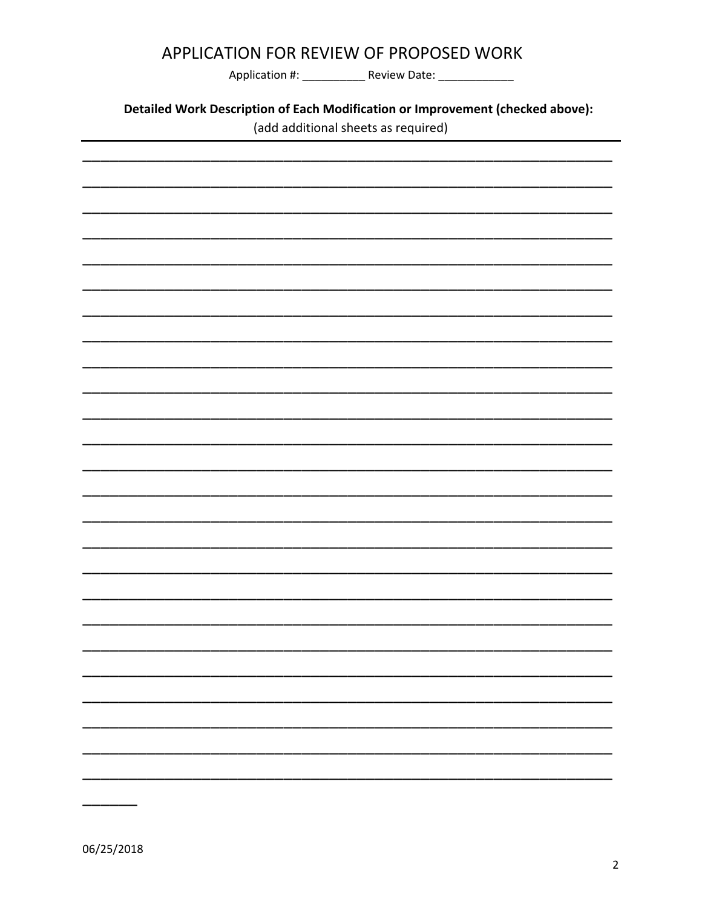|  |  |  | <b>APPLICATION FOR REVIEW OF PROPOSED WORK</b> |  |
|--|--|--|------------------------------------------------|--|
|--|--|--|------------------------------------------------|--|

Application #: \_\_\_\_\_\_\_\_\_\_\_\_\_\_\_\_ Review Date: \_\_\_\_\_\_\_\_\_\_\_\_\_\_\_\_

Detailed Work Description of Each Modification or Improvement (checked above):

(add additional sheets as required)



06/25/2018